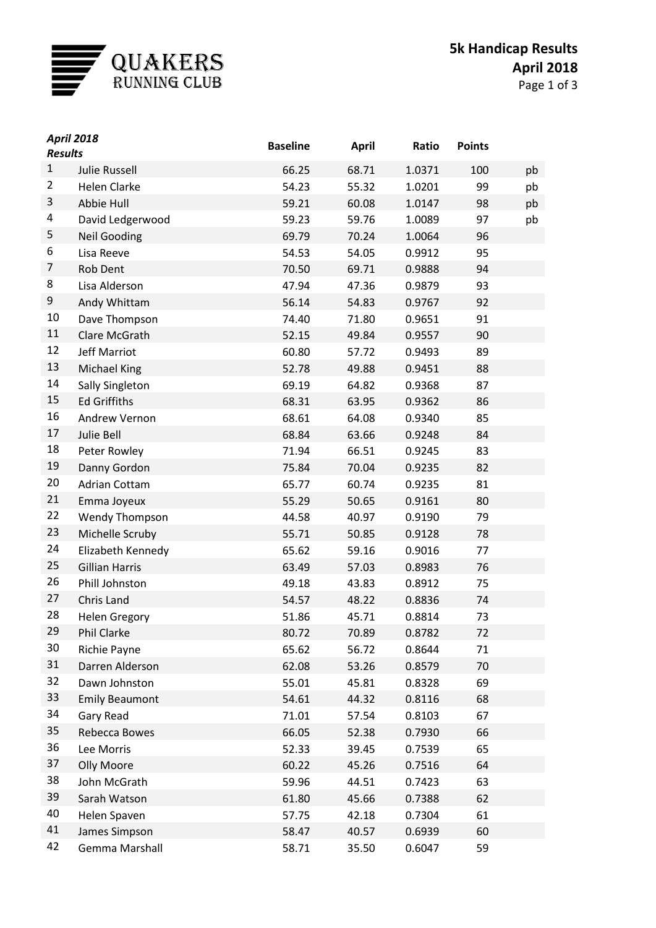

| <b>April 2018</b><br><b>Results</b> |                       | <b>Baseline</b> | <b>April</b> | Ratio  | <b>Points</b> |    |
|-------------------------------------|-----------------------|-----------------|--------------|--------|---------------|----|
| $\mathbf{1}$                        | <b>Julie Russell</b>  | 66.25           | 68.71        | 1.0371 | 100           | pb |
| 2                                   | <b>Helen Clarke</b>   | 54.23           | 55.32        | 1.0201 | 99            | pb |
| 3                                   | Abbie Hull            | 59.21           | 60.08        | 1.0147 | 98            | pb |
| 4                                   | David Ledgerwood      | 59.23           | 59.76        | 1.0089 | 97            | pb |
| 5                                   | <b>Neil Gooding</b>   | 69.79           | 70.24        | 1.0064 | 96            |    |
| 6                                   | Lisa Reeve            | 54.53           | 54.05        | 0.9912 | 95            |    |
| 7                                   | <b>Rob Dent</b>       | 70.50           | 69.71        | 0.9888 | 94            |    |
| 8                                   | Lisa Alderson         | 47.94           | 47.36        | 0.9879 | 93            |    |
| 9                                   | Andy Whittam          | 56.14           | 54.83        | 0.9767 | 92            |    |
| 10                                  | Dave Thompson         | 74.40           | 71.80        | 0.9651 | 91            |    |
| 11                                  | Clare McGrath         | 52.15           | 49.84        | 0.9557 | 90            |    |
| 12                                  | <b>Jeff Marriot</b>   | 60.80           | 57.72        | 0.9493 | 89            |    |
| 13                                  | Michael King          | 52.78           | 49.88        | 0.9451 | 88            |    |
| 14                                  | Sally Singleton       | 69.19           | 64.82        | 0.9368 | 87            |    |
| 15                                  | <b>Ed Griffiths</b>   | 68.31           | 63.95        | 0.9362 | 86            |    |
| 16                                  | Andrew Vernon         | 68.61           | 64.08        | 0.9340 | 85            |    |
| 17                                  | Julie Bell            | 68.84           | 63.66        | 0.9248 | 84            |    |
| 18                                  | Peter Rowley          | 71.94           | 66.51        | 0.9245 | 83            |    |
| 19                                  | Danny Gordon          | 75.84           | 70.04        | 0.9235 | 82            |    |
| 20                                  | <b>Adrian Cottam</b>  | 65.77           | 60.74        | 0.9235 | 81            |    |
| 21                                  | Emma Joyeux           | 55.29           | 50.65        | 0.9161 | 80            |    |
| 22                                  | <b>Wendy Thompson</b> | 44.58           | 40.97        | 0.9190 | 79            |    |
| 23                                  | Michelle Scruby       | 55.71           | 50.85        | 0.9128 | 78            |    |
| 24                                  | Elizabeth Kennedy     | 65.62           | 59.16        | 0.9016 | 77            |    |
| 25                                  | <b>Gillian Harris</b> | 63.49           | 57.03        | 0.8983 | 76            |    |
| 26                                  | Phill Johnston        | 49.18           | 43.83        | 0.8912 | 75            |    |
| 27                                  | Chris Land            | 54.57           | 48.22        | 0.8836 | 74            |    |
| 28                                  | <b>Helen Gregory</b>  | 51.86           | 45.71        | 0.8814 | 73            |    |
| 29                                  | Phil Clarke           | 80.72           | 70.89        | 0.8782 | 72            |    |
| 30                                  | Richie Payne          | 65.62           | 56.72        | 0.8644 | 71            |    |
| 31                                  | Darren Alderson       | 62.08           | 53.26        | 0.8579 | 70            |    |
| 32                                  | Dawn Johnston         | 55.01           | 45.81        | 0.8328 | 69            |    |
| 33                                  | <b>Emily Beaumont</b> | 54.61           | 44.32        | 0.8116 | 68            |    |
| 34                                  | Gary Read             | 71.01           | 57.54        | 0.8103 | 67            |    |
| 35                                  | Rebecca Bowes         | 66.05           | 52.38        | 0.7930 | 66            |    |
| 36                                  | Lee Morris            | 52.33           | 39.45        | 0.7539 | 65            |    |
| 37                                  | Olly Moore            | 60.22           | 45.26        | 0.7516 | 64            |    |
| 38                                  | John McGrath          | 59.96           | 44.51        | 0.7423 | 63            |    |
| 39                                  | Sarah Watson          | 61.80           | 45.66        | 0.7388 | 62            |    |
| 40                                  | Helen Spaven          | 57.75           | 42.18        | 0.7304 | 61            |    |
| 41                                  | James Simpson         | 58.47           | 40.57        | 0.6939 | 60            |    |
| 42                                  | Gemma Marshall        | 58.71           | 35.50        | 0.6047 | 59            |    |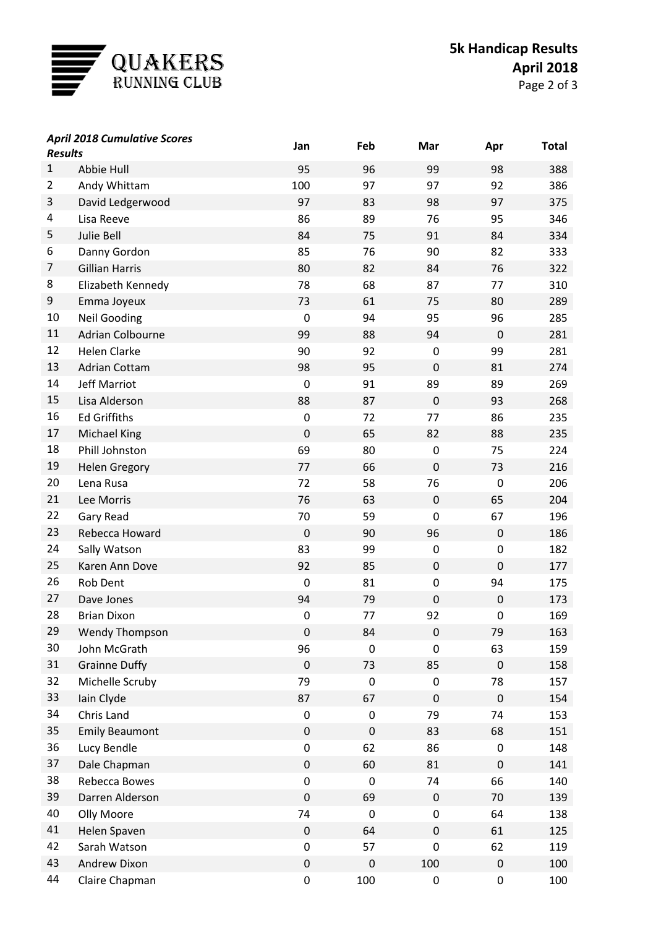

| <b>April 2018 Cumulative Scores</b><br><b>Results</b> |                       | Jan         | Feb              | Mar              | Apr         | <b>Total</b> |
|-------------------------------------------------------|-----------------------|-------------|------------------|------------------|-------------|--------------|
| $\mathbf{1}$                                          | Abbie Hull            | 95          | 96               | 99               | 98          | 388          |
| $\overline{2}$                                        | Andy Whittam          | 100         | 97               | 97               | 92          | 386          |
| 3                                                     | David Ledgerwood      | 97          | 83               | 98               | 97          | 375          |
| 4                                                     | Lisa Reeve            | 86          | 89               | 76               | 95          | 346          |
| 5                                                     | Julie Bell            | 84          | 75               | 91               | 84          | 334          |
| 6                                                     | Danny Gordon          | 85          | 76               | 90               | 82          | 333          |
| 7                                                     | <b>Gillian Harris</b> | 80          | 82               | 84               | 76          | 322          |
| 8                                                     | Elizabeth Kennedy     | 78          | 68               | 87               | 77          | 310          |
| 9                                                     | Emma Joyeux           | 73          | 61               | 75               | 80          | 289          |
| 10                                                    | <b>Neil Gooding</b>   | 0           | 94               | 95               | 96          | 285          |
| 11                                                    | Adrian Colbourne      | 99          | 88               | 94               | $\pmb{0}$   | 281          |
| 12                                                    | <b>Helen Clarke</b>   | 90          | 92               | $\mathbf 0$      | 99          | 281          |
| 13                                                    | <b>Adrian Cottam</b>  | 98          | 95               | $\mathbf 0$      | 81          | 274          |
| 14                                                    | <b>Jeff Marriot</b>   | 0           | 91               | 89               | 89          | 269          |
| 15                                                    | Lisa Alderson         | 88          | 87               | $\mathbf 0$      | 93          | 268          |
| 16                                                    | <b>Ed Griffiths</b>   | 0           | 72               | 77               | 86          | 235          |
| 17                                                    | <b>Michael King</b>   | $\mathbf 0$ | 65               | 82               | 88          | 235          |
| 18                                                    | Phill Johnston        | 69          | 80               | $\boldsymbol{0}$ | 75          | 224          |
| 19                                                    | <b>Helen Gregory</b>  | 77          | 66               | $\mathbf 0$      | 73          | 216          |
| 20                                                    | Lena Rusa             | 72          | 58               | 76               | $\pmb{0}$   | 206          |
| 21                                                    | Lee Morris            | 76          | 63               | $\mathbf 0$      | 65          | 204          |
| 22                                                    | Gary Read             | 70          | 59               | $\mathbf 0$      | 67          | 196          |
| 23                                                    | Rebecca Howard        | $\mathbf 0$ | 90               | 96               | $\mathbf 0$ | 186          |
| 24                                                    | Sally Watson          | 83          | 99               | 0                | 0           | 182          |
| 25                                                    | Karen Ann Dove        | 92          | 85               | $\mathbf 0$      | $\mathbf 0$ | 177          |
| 26                                                    | <b>Rob Dent</b>       | 0           | 81               | $\mathbf 0$      | 94          | 175          |
| 27                                                    | Dave Jones            | 94          | 79               | $\mathbf 0$      | $\mathbf 0$ | 173          |
| 28                                                    | <b>Brian Dixon</b>    | 0           | 77               | 92               | 0           | 169          |
| 29                                                    | Wendy Thompson        | $\pmb{0}$   | 84               | $\mathbf 0$      | 79          | 163          |
| 30                                                    | John McGrath          | 96          | $\mathbf 0$      | $\boldsymbol{0}$ | 63          | 159          |
| 31                                                    | <b>Grainne Duffy</b>  | $\pmb{0}$   | 73               | 85               | $\pmb{0}$   | 158          |
| 32                                                    | Michelle Scruby       | 79          | $\boldsymbol{0}$ | 0                | 78          | 157          |
| 33                                                    | Iain Clyde            | 87          | 67               | $\pmb{0}$        | $\pmb{0}$   | 154          |
| 34                                                    | Chris Land            | 0           | 0                | 79               | 74          | 153          |
| 35                                                    | <b>Emily Beaumont</b> | $\pmb{0}$   | $\boldsymbol{0}$ | 83               | 68          | 151          |
| 36                                                    | Lucy Bendle           | 0           | 62               | 86               | 0           | 148          |
| 37                                                    | Dale Chapman          | $\pmb{0}$   | 60               | 81               | $\pmb{0}$   | 141          |
| 38                                                    | Rebecca Bowes         | 0           | 0                | 74               | 66          | 140          |
| 39                                                    | Darren Alderson       | $\mathsf 0$ | 69               | $\mathbf 0$      | 70          | 139          |
| 40                                                    | Olly Moore            | 74          | $\mathbf 0$      | 0                | 64          | 138          |
| 41                                                    | Helen Spaven          | $\pmb{0}$   | 64               | $\pmb{0}$        | 61          | 125          |
| 42                                                    | Sarah Watson          | 0           | 57               | 0                | 62          | 119          |
| 43                                                    | Andrew Dixon          | $\pmb{0}$   | $\mathbf 0$      | 100              | $\pmb{0}$   | 100          |
| 44                                                    | Claire Chapman        | 0           | 100              | 0                | $\pmb{0}$   | 100          |